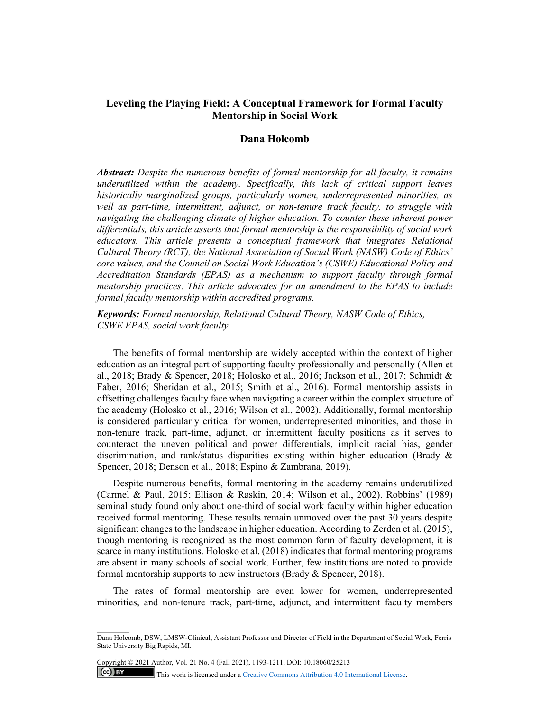# **Leveling the Playing Field: A Conceptual Framework for Formal Faculty Mentorship in Social Work**

## **Dana Holcomb**

*Abstract: Despite the numerous benefits of formal mentorship for all faculty, it remains underutilized within the academy. Specifically, this lack of critical support leaves historically marginalized groups, particularly women, underrepresented minorities, as well as part-time, intermittent, adjunct, or non-tenure track faculty, to struggle with navigating the challenging climate of higher education. To counter these inherent power differentials, this article asserts that formal mentorship is the responsibility of social work educators. This article presents a conceptual framework that integrates Relational Cultural Theory (RCT), the National Association of Social Work (NASW) Code of Ethics' core values, and the Council on Social Work Education's (CSWE) Educational Policy and Accreditation Standards (EPAS) as a mechanism to support faculty through formal mentorship practices. This article advocates for an amendment to the EPAS to include formal faculty mentorship within accredited programs.* 

*Keywords: Formal mentorship, Relational Cultural Theory, NASW Code of Ethics, CSWE EPAS, social work faculty* 

The benefits of formal mentorship are widely accepted within the context of higher education as an integral part of supporting faculty professionally and personally (Allen et al., 2018; Brady & Spencer, 2018; Holosko et al., 2016; Jackson et al., 2017; Schmidt & Faber, 2016; Sheridan et al., 2015; Smith et al., 2016). Formal mentorship assists in offsetting challenges faculty face when navigating a career within the complex structure of the academy (Holosko et al., 2016; Wilson et al., 2002). Additionally, formal mentorship is considered particularly critical for women, underrepresented minorities, and those in non-tenure track, part-time, adjunct, or intermittent faculty positions as it serves to counteract the uneven political and power differentials, implicit racial bias, gender discrimination, and rank/status disparities existing within higher education (Brady & Spencer, 2018; Denson et al., 2018; Espino & Zambrana, 2019).

Despite numerous benefits, formal mentoring in the academy remains underutilized (Carmel & Paul, 2015; Ellison & Raskin, 2014; Wilson et al., 2002). Robbins' (1989) seminal study found only about one-third of social work faculty within higher education received formal mentoring. These results remain unmoved over the past 30 years despite significant changes to the landscape in higher education. According to Zerden et al. (2015), though mentoring is recognized as the most common form of faculty development, it is scarce in many institutions. Holosko et al. (2018) indicates that formal mentoring programs are absent in many schools of social work. Further, few institutions are noted to provide formal mentorship supports to new instructors (Brady & Spencer, 2018).

The rates of formal mentorship are even lower for women, underrepresented minorities, and non-tenure track, part-time, adjunct, and intermittent faculty members

Copyright © 2021 Author, Vol. 21 No. 4 (Fall 2021), 1193-1211, DOI: 10.18060/25213  $(cc)$  BY

This work is licensed under a Creative Commons Attribution 4.0 International License.

Dana Holcomb, DSW, LMSW-Clinical, Assistant Professor and Director of Field in the Department of Social Work, Ferris State University Big Rapids, MI.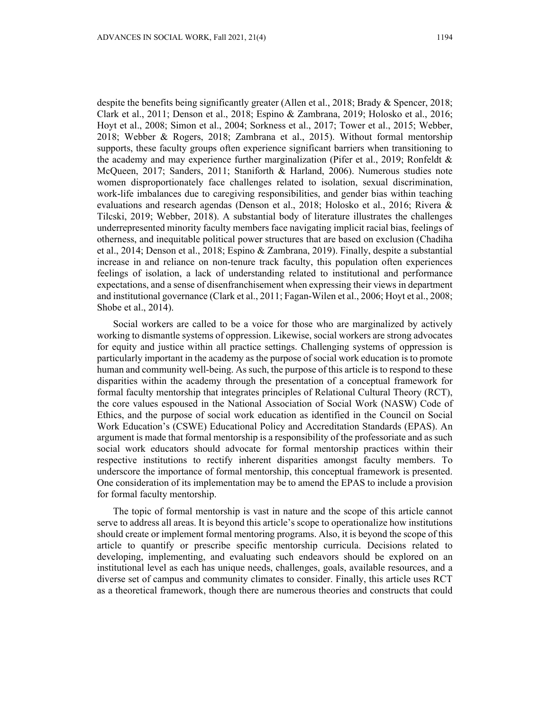despite the benefits being significantly greater (Allen et al., 2018; Brady & Spencer, 2018; Clark et al., 2011; Denson et al., 2018; Espino & Zambrana, 2019; Holosko et al., 2016; Hoyt et al., 2008; Simon et al., 2004; Sorkness et al., 2017; Tower et al., 2015; Webber, 2018; Webber & Rogers, 2018; Zambrana et al., 2015). Without formal mentorship supports, these faculty groups often experience significant barriers when transitioning to the academy and may experience further marginalization (Pifer et al., 2019; Ronfeldt & McQueen, 2017; Sanders, 2011; Staniforth & Harland, 2006). Numerous studies note women disproportionately face challenges related to isolation, sexual discrimination, work-life imbalances due to caregiving responsibilities, and gender bias within teaching evaluations and research agendas (Denson et al., 2018; Holosko et al., 2016; Rivera & Tilcski, 2019; Webber, 2018). A substantial body of literature illustrates the challenges underrepresented minority faculty members face navigating implicit racial bias, feelings of otherness, and inequitable political power structures that are based on exclusion (Chadiha et al., 2014; Denson et al., 2018; Espino & Zambrana, 2019). Finally, despite a substantial increase in and reliance on non-tenure track faculty, this population often experiences feelings of isolation, a lack of understanding related to institutional and performance expectations, and a sense of disenfranchisement when expressing their views in department and institutional governance (Clark et al., 2011; Fagan-Wilen et al., 2006; Hoyt et al., 2008; Shobe et al., 2014).

Social workers are called to be a voice for those who are marginalized by actively working to dismantle systems of oppression. Likewise, social workers are strong advocates for equity and justice within all practice settings. Challenging systems of oppression is particularly important in the academy as the purpose of social work education is to promote human and community well-being. As such, the purpose of this article is to respond to these disparities within the academy through the presentation of a conceptual framework for formal faculty mentorship that integrates principles of Relational Cultural Theory (RCT), the core values espoused in the National Association of Social Work (NASW) Code of Ethics, and the purpose of social work education as identified in the Council on Social Work Education's (CSWE) Educational Policy and Accreditation Standards (EPAS). An argument is made that formal mentorship is a responsibility of the professoriate and as such social work educators should advocate for formal mentorship practices within their respective institutions to rectify inherent disparities amongst faculty members. To underscore the importance of formal mentorship, this conceptual framework is presented. One consideration of its implementation may be to amend the EPAS to include a provision for formal faculty mentorship.

The topic of formal mentorship is vast in nature and the scope of this article cannot serve to address all areas. It is beyond this article's scope to operationalize how institutions should create or implement formal mentoring programs. Also, it is beyond the scope of this article to quantify or prescribe specific mentorship curricula. Decisions related to developing, implementing, and evaluating such endeavors should be explored on an institutional level as each has unique needs, challenges, goals, available resources, and a diverse set of campus and community climates to consider. Finally, this article uses RCT as a theoretical framework, though there are numerous theories and constructs that could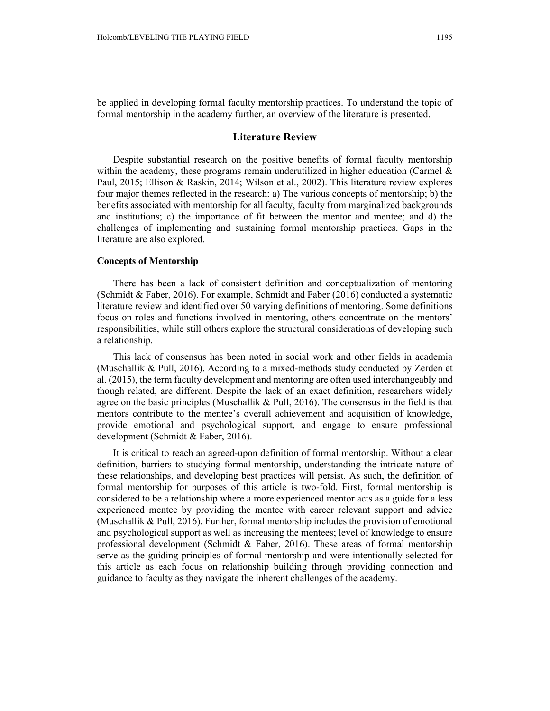be applied in developing formal faculty mentorship practices. To understand the topic of formal mentorship in the academy further, an overview of the literature is presented.

#### **Literature Review**

Despite substantial research on the positive benefits of formal faculty mentorship within the academy, these programs remain underutilized in higher education (Carmel  $\&$ Paul, 2015; Ellison & Raskin, 2014; Wilson et al., 2002). This literature review explores four major themes reflected in the research: a) The various concepts of mentorship; b) the benefits associated with mentorship for all faculty, faculty from marginalized backgrounds and institutions; c) the importance of fit between the mentor and mentee; and d) the challenges of implementing and sustaining formal mentorship practices. Gaps in the literature are also explored.

## **Concepts of Mentorship**

There has been a lack of consistent definition and conceptualization of mentoring (Schmidt & Faber, 2016). For example, Schmidt and Faber (2016) conducted a systematic literature review and identified over 50 varying definitions of mentoring. Some definitions focus on roles and functions involved in mentoring, others concentrate on the mentors' responsibilities, while still others explore the structural considerations of developing such a relationship.

This lack of consensus has been noted in social work and other fields in academia (Muschallik & Pull, 2016). According to a mixed-methods study conducted by Zerden et al. (2015), the term faculty development and mentoring are often used interchangeably and though related, are different. Despite the lack of an exact definition, researchers widely agree on the basic principles (Muschallik & Pull, 2016). The consensus in the field is that mentors contribute to the mentee's overall achievement and acquisition of knowledge, provide emotional and psychological support, and engage to ensure professional development (Schmidt & Faber, 2016).

It is critical to reach an agreed-upon definition of formal mentorship. Without a clear definition, barriers to studying formal mentorship, understanding the intricate nature of these relationships, and developing best practices will persist. As such, the definition of formal mentorship for purposes of this article is two-fold. First, formal mentorship is considered to be a relationship where a more experienced mentor acts as a guide for a less experienced mentee by providing the mentee with career relevant support and advice (Muschallik & Pull, 2016). Further, formal mentorship includes the provision of emotional and psychological support as well as increasing the mentees; level of knowledge to ensure professional development (Schmidt & Faber, 2016). These areas of formal mentorship serve as the guiding principles of formal mentorship and were intentionally selected for this article as each focus on relationship building through providing connection and guidance to faculty as they navigate the inherent challenges of the academy.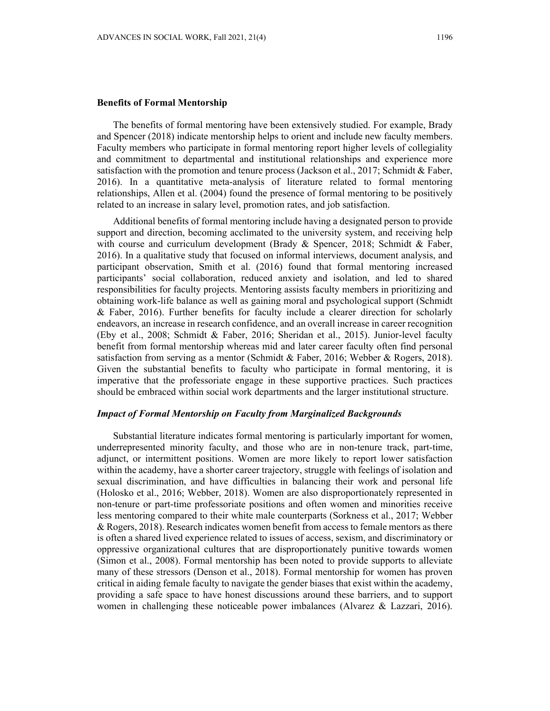### **Benefits of Formal Mentorship**

The benefits of formal mentoring have been extensively studied. For example, Brady and Spencer (2018) indicate mentorship helps to orient and include new faculty members. Faculty members who participate in formal mentoring report higher levels of collegiality and commitment to departmental and institutional relationships and experience more satisfaction with the promotion and tenure process (Jackson et al., 2017; Schmidt & Faber, 2016). In a quantitative meta-analysis of literature related to formal mentoring relationships, Allen et al. (2004) found the presence of formal mentoring to be positively related to an increase in salary level, promotion rates, and job satisfaction.

Additional benefits of formal mentoring include having a designated person to provide support and direction, becoming acclimated to the university system, and receiving help with course and curriculum development (Brady & Spencer, 2018; Schmidt & Faber, 2016). In a qualitative study that focused on informal interviews, document analysis, and participant observation, Smith et al. (2016) found that formal mentoring increased participants' social collaboration, reduced anxiety and isolation, and led to shared responsibilities for faculty projects. Mentoring assists faculty members in prioritizing and obtaining work-life balance as well as gaining moral and psychological support (Schmidt & Faber, 2016). Further benefits for faculty include a clearer direction for scholarly endeavors, an increase in research confidence, and an overall increase in career recognition (Eby et al., 2008; Schmidt & Faber, 2016; Sheridan et al., 2015). Junior-level faculty benefit from formal mentorship whereas mid and later career faculty often find personal satisfaction from serving as a mentor (Schmidt & Faber, 2016; Webber & Rogers, 2018). Given the substantial benefits to faculty who participate in formal mentoring, it is imperative that the professoriate engage in these supportive practices. Such practices should be embraced within social work departments and the larger institutional structure.

## *Impact of Formal Mentorship on Faculty from Marginalized Backgrounds*

Substantial literature indicates formal mentoring is particularly important for women, underrepresented minority faculty, and those who are in non-tenure track, part-time, adjunct, or intermittent positions. Women are more likely to report lower satisfaction within the academy, have a shorter career trajectory, struggle with feelings of isolation and sexual discrimination, and have difficulties in balancing their work and personal life (Holosko et al., 2016; Webber, 2018). Women are also disproportionately represented in non-tenure or part-time professoriate positions and often women and minorities receive less mentoring compared to their white male counterparts (Sorkness et al., 2017; Webber & Rogers, 2018). Research indicates women benefit from access to female mentors as there is often a shared lived experience related to issues of access, sexism, and discriminatory or oppressive organizational cultures that are disproportionately punitive towards women (Simon et al., 2008). Formal mentorship has been noted to provide supports to alleviate many of these stressors (Denson et al., 2018). Formal mentorship for women has proven critical in aiding female faculty to navigate the gender biases that exist within the academy, providing a safe space to have honest discussions around these barriers, and to support women in challenging these noticeable power imbalances (Alvarez & Lazzari, 2016).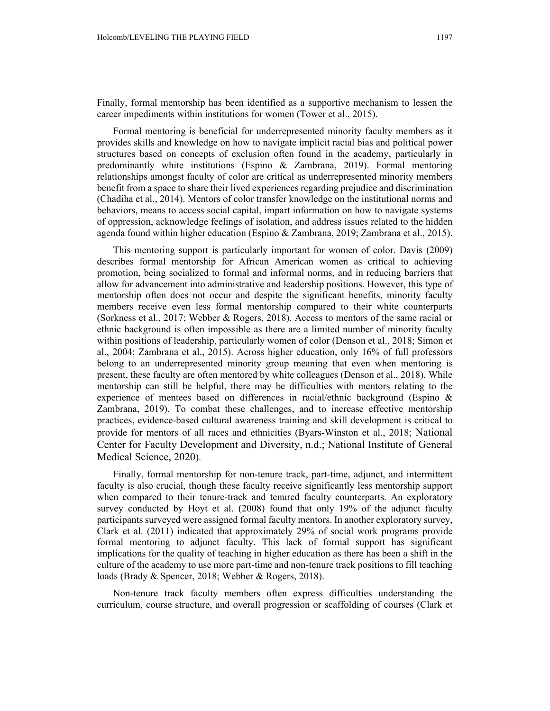Finally, formal mentorship has been identified as a supportive mechanism to lessen the career impediments within institutions for women (Tower et al., 2015).

Formal mentoring is beneficial for underrepresented minority faculty members as it provides skills and knowledge on how to navigate implicit racial bias and political power structures based on concepts of exclusion often found in the academy, particularly in predominantly white institutions (Espino & Zambrana, 2019). Formal mentoring relationships amongst faculty of color are critical as underrepresented minority members benefit from a space to share their lived experiences regarding prejudice and discrimination (Chadiha et al., 2014). Mentors of color transfer knowledge on the institutional norms and behaviors, means to access social capital, impart information on how to navigate systems of oppression, acknowledge feelings of isolation, and address issues related to the hidden agenda found within higher education (Espino & Zambrana, 2019; Zambrana et al., 2015).

This mentoring support is particularly important for women of color. Davis (2009) describes formal mentorship for African American women as critical to achieving promotion, being socialized to formal and informal norms, and in reducing barriers that allow for advancement into administrative and leadership positions. However, this type of mentorship often does not occur and despite the significant benefits, minority faculty members receive even less formal mentorship compared to their white counterparts (Sorkness et al., 2017; Webber & Rogers, 2018). Access to mentors of the same racial or ethnic background is often impossible as there are a limited number of minority faculty within positions of leadership, particularly women of color (Denson et al., 2018; Simon et al., 2004; Zambrana et al., 2015). Across higher education, only 16% of full professors belong to an underrepresented minority group meaning that even when mentoring is present, these faculty are often mentored by white colleagues (Denson et al., 2018). While mentorship can still be helpful, there may be difficulties with mentors relating to the experience of mentees based on differences in racial/ethnic background (Espino & Zambrana, 2019). To combat these challenges, and to increase effective mentorship practices, evidence-based cultural awareness training and skill development is critical to provide for mentors of all races and ethnicities (Byars-Winston et al., 2018; National Center for Faculty Development and Diversity, n.d.; National Institute of General Medical Science, 2020).

Finally, formal mentorship for non-tenure track, part-time, adjunct, and intermittent faculty is also crucial, though these faculty receive significantly less mentorship support when compared to their tenure-track and tenured faculty counterparts. An exploratory survey conducted by Hoyt et al. (2008) found that only 19% of the adjunct faculty participants surveyed were assigned formal faculty mentors. In another exploratory survey, Clark et al. (2011) indicated that approximately 29% of social work programs provide formal mentoring to adjunct faculty. This lack of formal support has significant implications for the quality of teaching in higher education as there has been a shift in the culture of the academy to use more part-time and non-tenure track positions to fill teaching loads (Brady & Spencer, 2018; Webber & Rogers, 2018).

Non-tenure track faculty members often express difficulties understanding the curriculum, course structure, and overall progression or scaffolding of courses (Clark et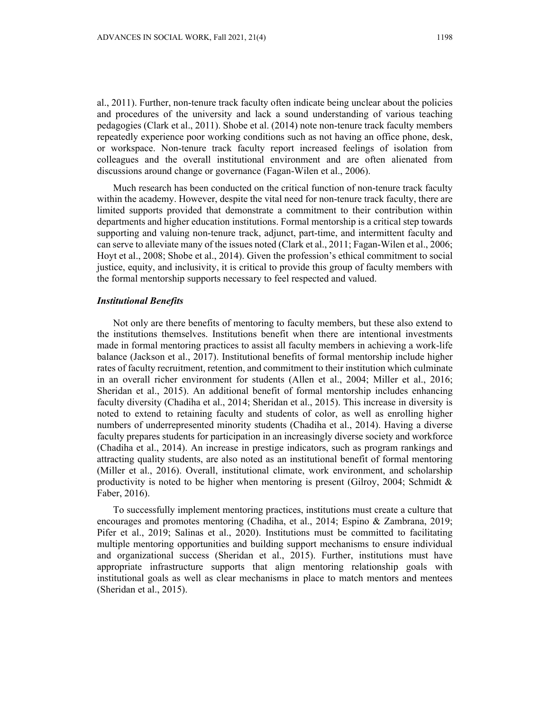al., 2011). Further, non-tenure track faculty often indicate being unclear about the policies and procedures of the university and lack a sound understanding of various teaching pedagogies (Clark et al., 2011). Shobe et al. (2014) note non-tenure track faculty members repeatedly experience poor working conditions such as not having an office phone, desk, or workspace. Non-tenure track faculty report increased feelings of isolation from colleagues and the overall institutional environment and are often alienated from discussions around change or governance (Fagan-Wilen et al., 2006).

Much research has been conducted on the critical function of non-tenure track faculty within the academy. However, despite the vital need for non-tenure track faculty, there are limited supports provided that demonstrate a commitment to their contribution within departments and higher education institutions. Formal mentorship is a critical step towards supporting and valuing non-tenure track, adjunct, part-time, and intermittent faculty and can serve to alleviate many of the issues noted (Clark et al., 2011; Fagan-Wilen et al., 2006; Hoyt et al., 2008; Shobe et al., 2014). Given the profession's ethical commitment to social justice, equity, and inclusivity, it is critical to provide this group of faculty members with the formal mentorship supports necessary to feel respected and valued.

## *Institutional Benefits*

Not only are there benefits of mentoring to faculty members, but these also extend to the institutions themselves. Institutions benefit when there are intentional investments made in formal mentoring practices to assist all faculty members in achieving a work-life balance (Jackson et al., 2017). Institutional benefits of formal mentorship include higher rates of faculty recruitment, retention, and commitment to their institution which culminate in an overall richer environment for students (Allen et al., 2004; Miller et al., 2016; Sheridan et al., 2015). An additional benefit of formal mentorship includes enhancing faculty diversity (Chadiha et al., 2014; Sheridan et al., 2015). This increase in diversity is noted to extend to retaining faculty and students of color, as well as enrolling higher numbers of underrepresented minority students (Chadiha et al., 2014). Having a diverse faculty prepares students for participation in an increasingly diverse society and workforce (Chadiha et al., 2014). An increase in prestige indicators, such as program rankings and attracting quality students, are also noted as an institutional benefit of formal mentoring (Miller et al., 2016). Overall, institutional climate, work environment, and scholarship productivity is noted to be higher when mentoring is present (Gilroy, 2004; Schmidt  $\&$ Faber, 2016).

To successfully implement mentoring practices, institutions must create a culture that encourages and promotes mentoring (Chadiha, et al., 2014; Espino & Zambrana, 2019; Pifer et al., 2019; Salinas et al., 2020). Institutions must be committed to facilitating multiple mentoring opportunities and building support mechanisms to ensure individual and organizational success (Sheridan et al., 2015). Further, institutions must have appropriate infrastructure supports that align mentoring relationship goals with institutional goals as well as clear mechanisms in place to match mentors and mentees (Sheridan et al., 2015).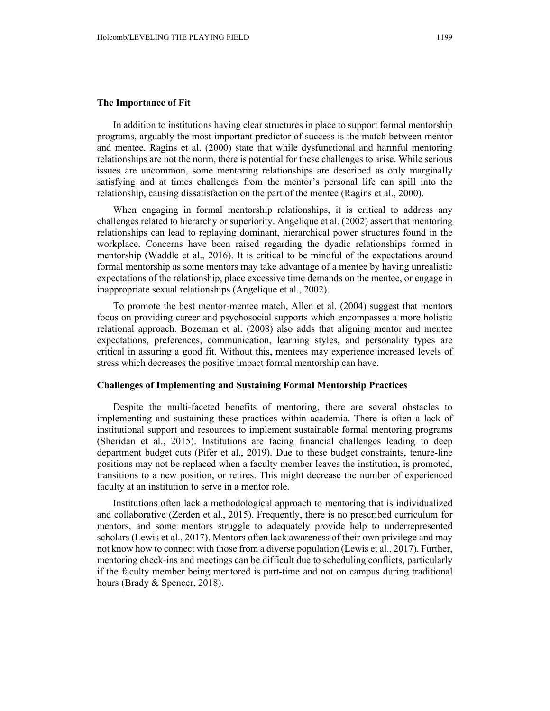#### **The Importance of Fit**

In addition to institutions having clear structures in place to support formal mentorship programs, arguably the most important predictor of success is the match between mentor and mentee. Ragins et al. (2000) state that while dysfunctional and harmful mentoring relationships are not the norm, there is potential for these challenges to arise. While serious issues are uncommon, some mentoring relationships are described as only marginally satisfying and at times challenges from the mentor's personal life can spill into the relationship, causing dissatisfaction on the part of the mentee (Ragins et al., 2000).

When engaging in formal mentorship relationships, it is critical to address any challenges related to hierarchy or superiority. Angelique et al. (2002) assert that mentoring relationships can lead to replaying dominant, hierarchical power structures found in the workplace. Concerns have been raised regarding the dyadic relationships formed in mentorship (Waddle et al., 2016). It is critical to be mindful of the expectations around formal mentorship as some mentors may take advantage of a mentee by having unrealistic expectations of the relationship, place excessive time demands on the mentee, or engage in inappropriate sexual relationships (Angelique et al., 2002).

To promote the best mentor-mentee match, Allen et al. (2004) suggest that mentors focus on providing career and psychosocial supports which encompasses a more holistic relational approach. Bozeman et al. (2008) also adds that aligning mentor and mentee expectations, preferences, communication, learning styles, and personality types are critical in assuring a good fit. Without this, mentees may experience increased levels of stress which decreases the positive impact formal mentorship can have.

## **Challenges of Implementing and Sustaining Formal Mentorship Practices**

Despite the multi-faceted benefits of mentoring, there are several obstacles to implementing and sustaining these practices within academia. There is often a lack of institutional support and resources to implement sustainable formal mentoring programs (Sheridan et al., 2015). Institutions are facing financial challenges leading to deep department budget cuts (Pifer et al., 2019). Due to these budget constraints, tenure-line positions may not be replaced when a faculty member leaves the institution, is promoted, transitions to a new position, or retires. This might decrease the number of experienced faculty at an institution to serve in a mentor role.

Institutions often lack a methodological approach to mentoring that is individualized and collaborative (Zerden et al., 2015). Frequently, there is no prescribed curriculum for mentors, and some mentors struggle to adequately provide help to underrepresented scholars (Lewis et al., 2017). Mentors often lack awareness of their own privilege and may not know how to connect with those from a diverse population (Lewis et al., 2017). Further, mentoring check-ins and meetings can be difficult due to scheduling conflicts, particularly if the faculty member being mentored is part-time and not on campus during traditional hours (Brady & Spencer, 2018).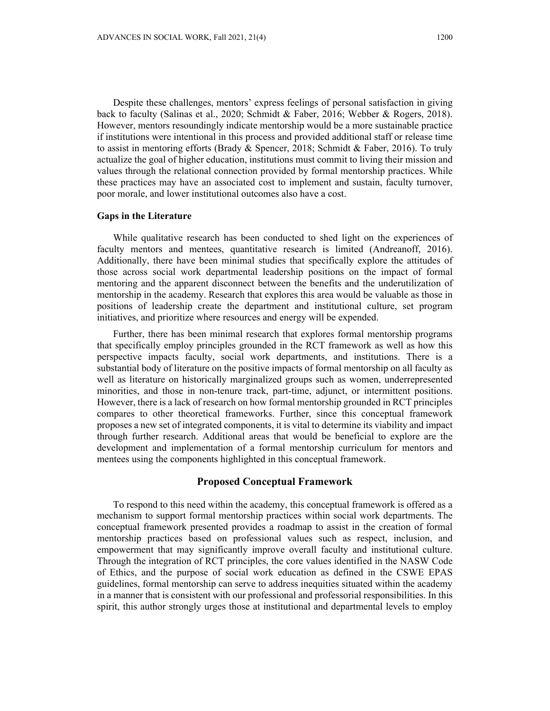Despite these challenges, mentors' express feelings of personal satisfaction in giving back to faculty (Salinas et al., 2020; Schmidt & Faber, 2016; Webber & Rogers, 2018). However, mentors resoundingly indicate mentorship would be a more sustainable practice if institutions were intentional in this process and provided additional staff or release time to assist in mentoring efforts (Brady & Spencer, 2018; Schmidt & Faber, 2016). To truly actualize the goal of higher education, institutions must commit to living their mission and values through the relational connection provided by formal mentorship practices. While these practices may have an associated cost to implement and sustain, faculty turnover, poor morale, and lower institutional outcomes also have a cost.

#### **Gaps in the Literature**

While qualitative research has been conducted to shed light on the experiences of faculty mentors and mentees, quantitative research is limited (Andreanoff, 2016). Additionally, there have been minimal studies that specifically explore the attitudes of those across social work departmental leadership positions on the impact of formal mentoring and the apparent disconnect between the benefits and the underutilization of mentorship in the academy. Research that explores this area would be valuable as those in positions of leadership create the department and institutional culture, set program initiatives, and prioritize where resources and energy will be expended.

Further, there has been minimal research that explores formal mentorship programs that specifically employ principles grounded in the RCT framework as well as how this perspective impacts faculty, social work departments, and institutions. There is a substantial body of literature on the positive impacts of formal mentorship on all faculty as well as literature on historically marginalized groups such as women, underrepresented minorities, and those in non-tenure track, part-time, adjunct, or intermittent positions. However, there is a lack of research on how formal mentorship grounded in RCT principles compares to other theoretical frameworks. Further, since this conceptual framework proposes a new set of integrated components, it is vital to determine its viability and impact through further research. Additional areas that would be beneficial to explore are the development and implementation of a formal mentorship curriculum for mentors and mentees using the components highlighted in this conceptual framework.

## **Proposed Conceptual Framework**

To respond to this need within the academy, this conceptual framework is offered as a mechanism to support formal mentorship practices within social work departments. The conceptual framework presented provides a roadmap to assist in the creation of formal mentorship practices based on professional values such as respect, inclusion, and empowerment that may significantly improve overall faculty and institutional culture. Through the integration of RCT principles, the core values identified in the NASW Code of Ethics, and the purpose of social work education as defined in the CSWE EPAS guidelines, formal mentorship can serve to address inequities situated within the academy in a manner that is consistent with our professional and professorial responsibilities. In this spirit, this author strongly urges those at institutional and departmental levels to employ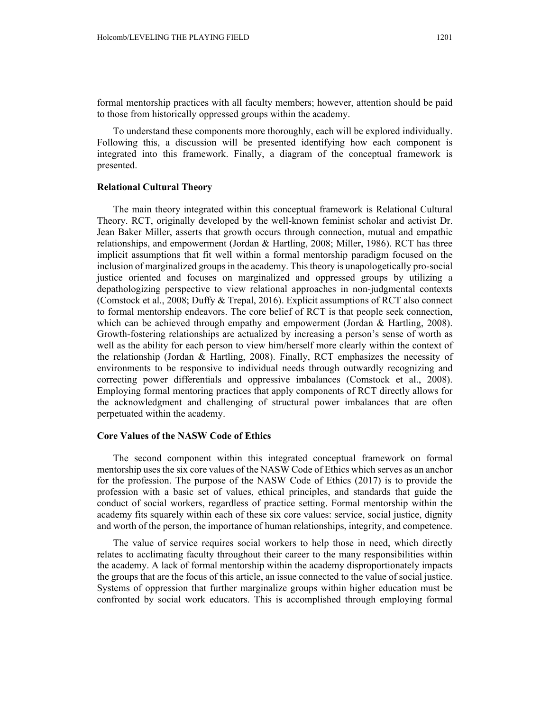formal mentorship practices with all faculty members; however, attention should be paid to those from historically oppressed groups within the academy.

To understand these components more thoroughly, each will be explored individually. Following this, a discussion will be presented identifying how each component is integrated into this framework. Finally, a diagram of the conceptual framework is presented.

## **Relational Cultural Theory**

The main theory integrated within this conceptual framework is Relational Cultural Theory. RCT, originally developed by the well-known feminist scholar and activist Dr. Jean Baker Miller, asserts that growth occurs through connection, mutual and empathic relationships, and empowerment (Jordan & Hartling, 2008; Miller, 1986). RCT has three implicit assumptions that fit well within a formal mentorship paradigm focused on the inclusion of marginalized groups in the academy. This theory is unapologetically pro-social justice oriented and focuses on marginalized and oppressed groups by utilizing a depathologizing perspective to view relational approaches in non-judgmental contexts (Comstock et al., 2008; Duffy & Trepal, 2016). Explicit assumptions of RCT also connect to formal mentorship endeavors. The core belief of RCT is that people seek connection, which can be achieved through empathy and empowerment (Jordan & Hartling, 2008). Growth-fostering relationships are actualized by increasing a person's sense of worth as well as the ability for each person to view him/herself more clearly within the context of the relationship (Jordan & Hartling, 2008). Finally, RCT emphasizes the necessity of environments to be responsive to individual needs through outwardly recognizing and correcting power differentials and oppressive imbalances (Comstock et al., 2008). Employing formal mentoring practices that apply components of RCT directly allows for the acknowledgment and challenging of structural power imbalances that are often perpetuated within the academy.

#### **Core Values of the NASW Code of Ethics**

The second component within this integrated conceptual framework on formal mentorship uses the six core values of the NASW Code of Ethics which serves as an anchor for the profession. The purpose of the NASW Code of Ethics (2017) is to provide the profession with a basic set of values, ethical principles, and standards that guide the conduct of social workers, regardless of practice setting. Formal mentorship within the academy fits squarely within each of these six core values: service, social justice, dignity and worth of the person, the importance of human relationships, integrity, and competence.

The value of service requires social workers to help those in need, which directly relates to acclimating faculty throughout their career to the many responsibilities within the academy. A lack of formal mentorship within the academy disproportionately impacts the groups that are the focus of this article, an issue connected to the value of social justice. Systems of oppression that further marginalize groups within higher education must be confronted by social work educators. This is accomplished through employing formal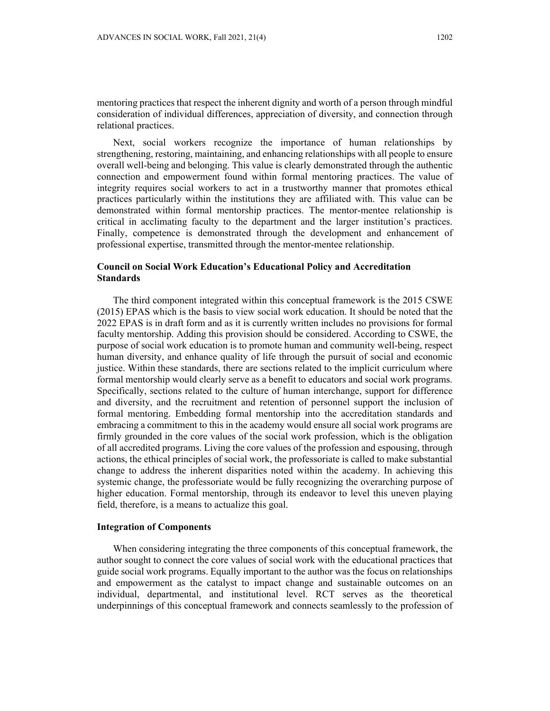mentoring practices that respect the inherent dignity and worth of a person through mindful consideration of individual differences, appreciation of diversity, and connection through relational practices.

Next, social workers recognize the importance of human relationships by strengthening, restoring, maintaining, and enhancing relationships with all people to ensure overall well-being and belonging. This value is clearly demonstrated through the authentic connection and empowerment found within formal mentoring practices. The value of integrity requires social workers to act in a trustworthy manner that promotes ethical practices particularly within the institutions they are affiliated with. This value can be demonstrated within formal mentorship practices. The mentor-mentee relationship is critical in acclimating faculty to the department and the larger institution's practices. Finally, competence is demonstrated through the development and enhancement of professional expertise, transmitted through the mentor-mentee relationship.

## **Council on Social Work Education's Educational Policy and Accreditation Standards**

The third component integrated within this conceptual framework is the 2015 CSWE (2015) EPAS which is the basis to view social work education. It should be noted that the 2022 EPAS is in draft form and as it is currently written includes no provisions for formal faculty mentorship. Adding this provision should be considered. According to CSWE, the purpose of social work education is to promote human and community well-being, respect human diversity, and enhance quality of life through the pursuit of social and economic justice. Within these standards, there are sections related to the implicit curriculum where formal mentorship would clearly serve as a benefit to educators and social work programs. Specifically, sections related to the culture of human interchange, support for difference and diversity, and the recruitment and retention of personnel support the inclusion of formal mentoring. Embedding formal mentorship into the accreditation standards and embracing a commitment to this in the academy would ensure all social work programs are firmly grounded in the core values of the social work profession, which is the obligation of all accredited programs. Living the core values of the profession and espousing, through actions, the ethical principles of social work, the professoriate is called to make substantial change to address the inherent disparities noted within the academy. In achieving this systemic change, the professoriate would be fully recognizing the overarching purpose of higher education. Formal mentorship, through its endeavor to level this uneven playing field, therefore, is a means to actualize this goal.

## **Integration of Components**

When considering integrating the three components of this conceptual framework, the author sought to connect the core values of social work with the educational practices that guide social work programs. Equally important to the author was the focus on relationships and empowerment as the catalyst to impact change and sustainable outcomes on an individual, departmental, and institutional level. RCT serves as the theoretical underpinnings of this conceptual framework and connects seamlessly to the profession of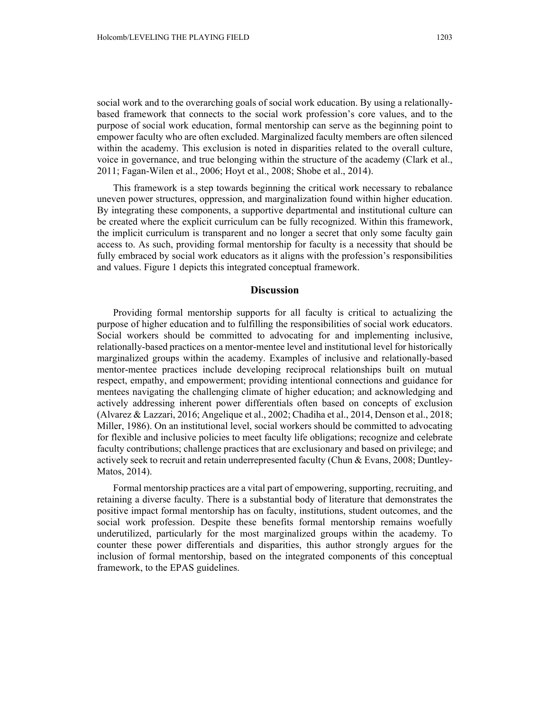social work and to the overarching goals of social work education. By using a relationallybased framework that connects to the social work profession's core values, and to the purpose of social work education, formal mentorship can serve as the beginning point to empower faculty who are often excluded. Marginalized faculty members are often silenced within the academy. This exclusion is noted in disparities related to the overall culture, voice in governance, and true belonging within the structure of the academy (Clark et al., 2011; Fagan-Wilen et al., 2006; Hoyt et al., 2008; Shobe et al., 2014).

This framework is a step towards beginning the critical work necessary to rebalance uneven power structures, oppression, and marginalization found within higher education. By integrating these components, a supportive departmental and institutional culture can be created where the explicit curriculum can be fully recognized. Within this framework, the implicit curriculum is transparent and no longer a secret that only some faculty gain access to. As such, providing formal mentorship for faculty is a necessity that should be fully embraced by social work educators as it aligns with the profession's responsibilities and values. Figure 1 depicts this integrated conceptual framework.

#### **Discussion**

Providing formal mentorship supports for all faculty is critical to actualizing the purpose of higher education and to fulfilling the responsibilities of social work educators. Social workers should be committed to advocating for and implementing inclusive, relationally-based practices on a mentor-mentee level and institutional level for historically marginalized groups within the academy. Examples of inclusive and relationally-based mentor-mentee practices include developing reciprocal relationships built on mutual respect, empathy, and empowerment; providing intentional connections and guidance for mentees navigating the challenging climate of higher education; and acknowledging and actively addressing inherent power differentials often based on concepts of exclusion (Alvarez & Lazzari, 2016; Angelique et al., 2002; Chadiha et al., 2014, Denson et al., 2018; Miller, 1986). On an institutional level, social workers should be committed to advocating for flexible and inclusive policies to meet faculty life obligations; recognize and celebrate faculty contributions; challenge practices that are exclusionary and based on privilege; and actively seek to recruit and retain underrepresented faculty (Chun & Evans, 2008; Duntley-Matos, 2014).

Formal mentorship practices are a vital part of empowering, supporting, recruiting, and retaining a diverse faculty. There is a substantial body of literature that demonstrates the positive impact formal mentorship has on faculty, institutions, student outcomes, and the social work profession. Despite these benefits formal mentorship remains woefully underutilized, particularly for the most marginalized groups within the academy. To counter these power differentials and disparities, this author strongly argues for the inclusion of formal mentorship, based on the integrated components of this conceptual framework, to the EPAS guidelines.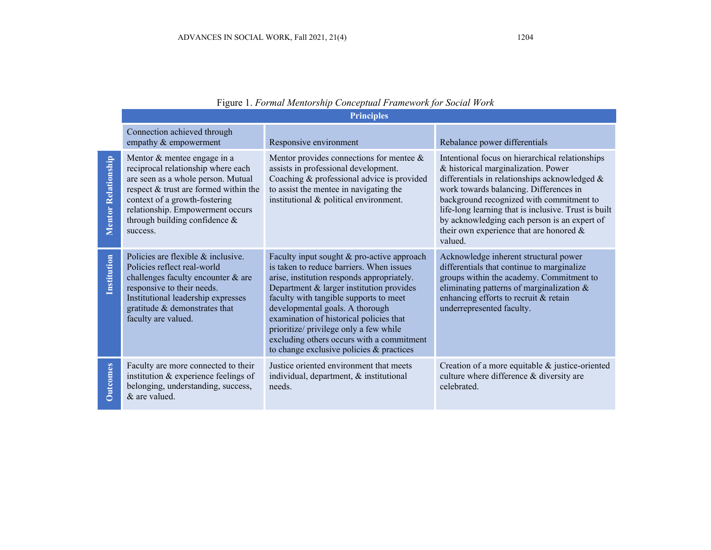|                            | <u>1 цен</u> е 1.1 отнастительно сопернат гатенот ротвоена потк<br><b>Principles</b>                                                                                                                                                                               |                                                                                                                                                                                                                                                                                                                                                                                                                                             |                                                                                                                                                                                                                                                                                                                                                                                                |  |  |
|----------------------------|--------------------------------------------------------------------------------------------------------------------------------------------------------------------------------------------------------------------------------------------------------------------|---------------------------------------------------------------------------------------------------------------------------------------------------------------------------------------------------------------------------------------------------------------------------------------------------------------------------------------------------------------------------------------------------------------------------------------------|------------------------------------------------------------------------------------------------------------------------------------------------------------------------------------------------------------------------------------------------------------------------------------------------------------------------------------------------------------------------------------------------|--|--|
|                            | Connection achieved through<br>empathy & empowerment                                                                                                                                                                                                               | Responsive environment                                                                                                                                                                                                                                                                                                                                                                                                                      | Rebalance power differentials                                                                                                                                                                                                                                                                                                                                                                  |  |  |
| <b>Mentor Relationship</b> | Mentor & mentee engage in a<br>reciprocal relationship where each<br>are seen as a whole person. Mutual<br>respect & trust are formed within the<br>context of a growth-fostering<br>relationship. Empowerment occurs<br>through building confidence &<br>success. | Mentor provides connections for mentee $\&$<br>assists in professional development.<br>Coaching & professional advice is provided<br>to assist the mentee in navigating the<br>institutional & political environment.                                                                                                                                                                                                                       | Intentional focus on hierarchical relationships<br>& historical marginalization. Power<br>differentials in relationships acknowledged &<br>work towards balancing. Differences in<br>background recognized with commitment to<br>life-long learning that is inclusive. Trust is built<br>by acknowledging each person is an expert of<br>their own experience that are honored $\&$<br>valued. |  |  |
| Institution                | Policies are flexible & inclusive.<br>Policies reflect real-world<br>challenges faculty encounter & are<br>responsive to their needs.<br>Institutional leadership expresses<br>gratitude & demonstrates that<br>faculty are valued.                                | Faculty input sought & pro-active approach<br>is taken to reduce barriers. When issues<br>arise, institution responds appropriately.<br>Department & larger institution provides<br>faculty with tangible supports to meet<br>developmental goals. A thorough<br>examination of historical policies that<br>prioritize/ privilege only a few while<br>excluding others occurs with a commitment<br>to change exclusive policies & practices | Acknowledge inherent structural power<br>differentials that continue to marginalize<br>groups within the academy. Commitment to<br>eliminating patterns of marginalization &<br>enhancing efforts to recruit & retain<br>underrepresented faculty.                                                                                                                                             |  |  |
| <b>Outcomes</b>            | Faculty are more connected to their<br>institution & experience feelings of<br>belonging, understanding, success,<br>& are valued.                                                                                                                                 | Justice oriented environment that meets<br>individual, department, & institutional<br>needs.                                                                                                                                                                                                                                                                                                                                                | Creation of a more equitable & justice-oriented<br>culture where difference & diversity are<br>celebrated.                                                                                                                                                                                                                                                                                     |  |  |

|  |  | Figure 1. Formal Mentorship Conceptual Framework for Social Work |  |
|--|--|------------------------------------------------------------------|--|
|  |  |                                                                  |  |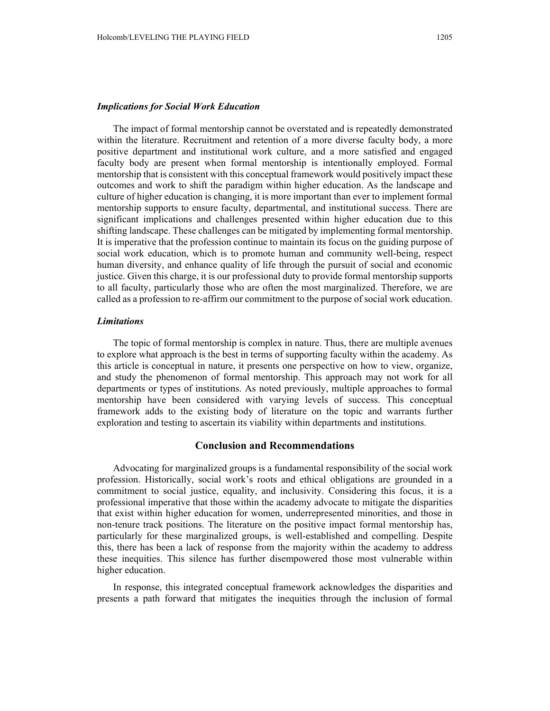## *Implications for Social Work Education*

The impact of formal mentorship cannot be overstated and is repeatedly demonstrated within the literature. Recruitment and retention of a more diverse faculty body, a more positive department and institutional work culture, and a more satisfied and engaged faculty body are present when formal mentorship is intentionally employed. Formal mentorship that is consistent with this conceptual framework would positively impact these outcomes and work to shift the paradigm within higher education. As the landscape and culture of higher education is changing, it is more important than ever to implement formal mentorship supports to ensure faculty, departmental, and institutional success. There are significant implications and challenges presented within higher education due to this shifting landscape. These challenges can be mitigated by implementing formal mentorship. It is imperative that the profession continue to maintain its focus on the guiding purpose of social work education, which is to promote human and community well-being, respect human diversity, and enhance quality of life through the pursuit of social and economic justice. Given this charge, it is our professional duty to provide formal mentorship supports to all faculty, particularly those who are often the most marginalized. Therefore, we are called as a profession to re-affirm our commitment to the purpose of social work education.

## *Limitations*

The topic of formal mentorship is complex in nature. Thus, there are multiple avenues to explore what approach is the best in terms of supporting faculty within the academy. As this article is conceptual in nature, it presents one perspective on how to view, organize, and study the phenomenon of formal mentorship. This approach may not work for all departments or types of institutions. As noted previously, multiple approaches to formal mentorship have been considered with varying levels of success. This conceptual framework adds to the existing body of literature on the topic and warrants further exploration and testing to ascertain its viability within departments and institutions.

#### **Conclusion and Recommendations**

Advocating for marginalized groups is a fundamental responsibility of the social work profession. Historically, social work's roots and ethical obligations are grounded in a commitment to social justice, equality, and inclusivity. Considering this focus, it is a professional imperative that those within the academy advocate to mitigate the disparities that exist within higher education for women, underrepresented minorities, and those in non-tenure track positions. The literature on the positive impact formal mentorship has, particularly for these marginalized groups, is well-established and compelling. Despite this, there has been a lack of response from the majority within the academy to address these inequities. This silence has further disempowered those most vulnerable within higher education.

In response, this integrated conceptual framework acknowledges the disparities and presents a path forward that mitigates the inequities through the inclusion of formal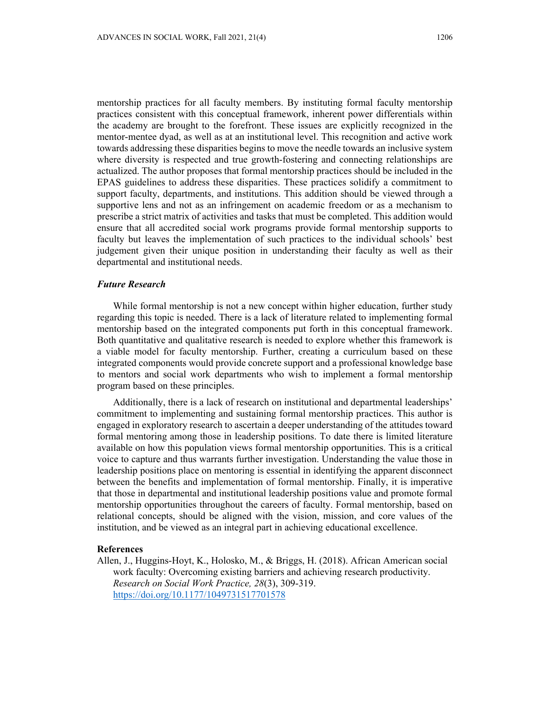mentorship practices for all faculty members. By instituting formal faculty mentorship practices consistent with this conceptual framework, inherent power differentials within the academy are brought to the forefront. These issues are explicitly recognized in the mentor-mentee dyad, as well as at an institutional level. This recognition and active work towards addressing these disparities begins to move the needle towards an inclusive system where diversity is respected and true growth-fostering and connecting relationships are actualized. The author proposes that formal mentorship practices should be included in the EPAS guidelines to address these disparities. These practices solidify a commitment to support faculty, departments, and institutions. This addition should be viewed through a supportive lens and not as an infringement on academic freedom or as a mechanism to prescribe a strict matrix of activities and tasks that must be completed. This addition would ensure that all accredited social work programs provide formal mentorship supports to faculty but leaves the implementation of such practices to the individual schools' best judgement given their unique position in understanding their faculty as well as their departmental and institutional needs.

#### *Future Research*

While formal mentorship is not a new concept within higher education, further study regarding this topic is needed. There is a lack of literature related to implementing formal mentorship based on the integrated components put forth in this conceptual framework. Both quantitative and qualitative research is needed to explore whether this framework is a viable model for faculty mentorship. Further, creating a curriculum based on these integrated components would provide concrete support and a professional knowledge base to mentors and social work departments who wish to implement a formal mentorship program based on these principles.

Additionally, there is a lack of research on institutional and departmental leaderships' commitment to implementing and sustaining formal mentorship practices. This author is engaged in exploratory research to ascertain a deeper understanding of the attitudes toward formal mentoring among those in leadership positions. To date there is limited literature available on how this population views formal mentorship opportunities. This is a critical voice to capture and thus warrants further investigation. Understanding the value those in leadership positions place on mentoring is essential in identifying the apparent disconnect between the benefits and implementation of formal mentorship. Finally, it is imperative that those in departmental and institutional leadership positions value and promote formal mentorship opportunities throughout the careers of faculty. Formal mentorship, based on relational concepts, should be aligned with the vision, mission, and core values of the institution, and be viewed as an integral part in achieving educational excellence.

#### **References**

Allen, J., Huggins-Hoyt, K., Holosko, M., & Briggs, H. (2018). African American social work faculty: Overcoming existing barriers and achieving research productivity. *Research on Social Work Practice, 28*(3), 309-319. https://doi.org/10.1177/1049731517701578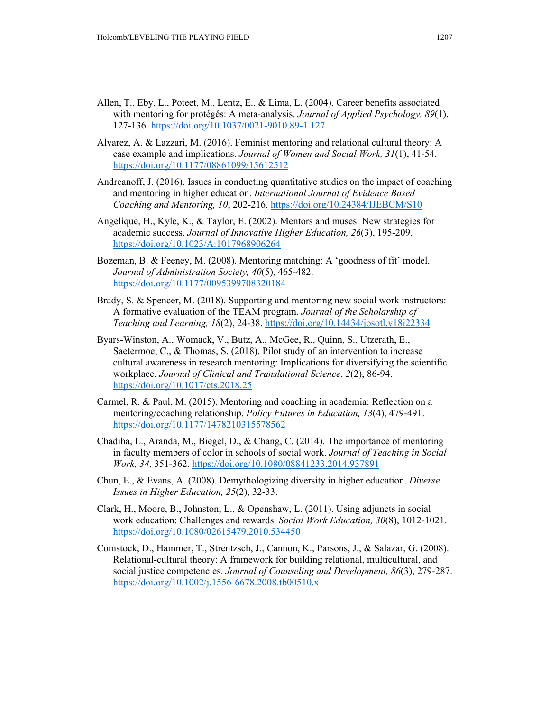- Allen, T., Eby, L., Poteet, M., Lentz, E., & Lima, L. (2004). Career benefits associated with mentoring for protégés: A meta-analysis. *Journal of Applied Psychology, 89*(1), 127-136. https://doi.org/10.1037/0021-9010.89-1.127
- Alvarez, A. & Lazzari, M. (2016). Feminist mentoring and relational cultural theory: A case example and implications. *Journal of Women and Social Work, 31*(1), 41-54. https://doi.org/10.1177/08861099/15612512
- Andreanoff, J. (2016). Issues in conducting quantitative studies on the impact of coaching and mentoring in higher education. *International Journal of Evidence Based Coaching and Mentoring, 10*, 202-216. https://doi.org/10.24384/IJEBCM/S10
- Angelique, H., Kyle, K., & Taylor, E. (2002). Mentors and muses: New strategies for academic success. *Journal of Innovative Higher Education, 26*(3), 195-209. https://doi.org/10.1023/A:1017968906264
- Bozeman, B. & Feeney, M. (2008). Mentoring matching: A 'goodness of fit' model. *Journal of Administration Society, 40*(5), 465-482. https://doi.org/10.1177/0095399708320184
- Brady, S. & Spencer, M. (2018). Supporting and mentoring new social work instructors: A formative evaluation of the TEAM program. *Journal of the Scholarship of Teaching and Learning, 18*(2), 24-38. https://doi.org/10.14434/josotl.v18i22334
- Byars-Winston, A., Womack, V., Butz, A., McGee, R., Quinn, S., Utzerath, E., Saetermoe, C., & Thomas, S. (2018). Pilot study of an intervention to increase cultural awareness in research mentoring: Implications for diversifying the scientific workplace. *Journal of Clinical and Translational Science, 2*(2), 86-94. https://doi.org/10.1017/cts.2018.25
- Carmel, R. & Paul, M. (2015). Mentoring and coaching in academia: Reflection on a mentoring/coaching relationship. *Policy Futures in Education, 13*(4), 479-491. https://doi.org/10.1177/1478210315578562
- Chadiha, L., Aranda, M., Biegel, D., & Chang, C. (2014). The importance of mentoring in faculty members of color in schools of social work. *Journal of Teaching in Social Work, 34*, 351-362. https://doi.org/10.1080/08841233.2014.937891
- Chun, E., & Evans, A. (2008). Demythologizing diversity in higher education. *Diverse Issues in Higher Education, 25*(2), 32-33.
- Clark, H., Moore, B., Johnston, L., & Openshaw, L. (2011). Using adjuncts in social work education: Challenges and rewards. *Social Work Education, 30*(8), 1012-1021. https://doi.org/10.1080/02615479.2010.534450
- Comstock, D., Hammer, T., Strentzsch, J., Cannon, K., Parsons, J., & Salazar, G. (2008). Relational-cultural theory: A framework for building relational, multicultural, and social justice competencies. *Journal of Counseling and Development, 86*(3), 279-287. https://doi.org/10.1002/j.1556-6678.2008.tb00510.x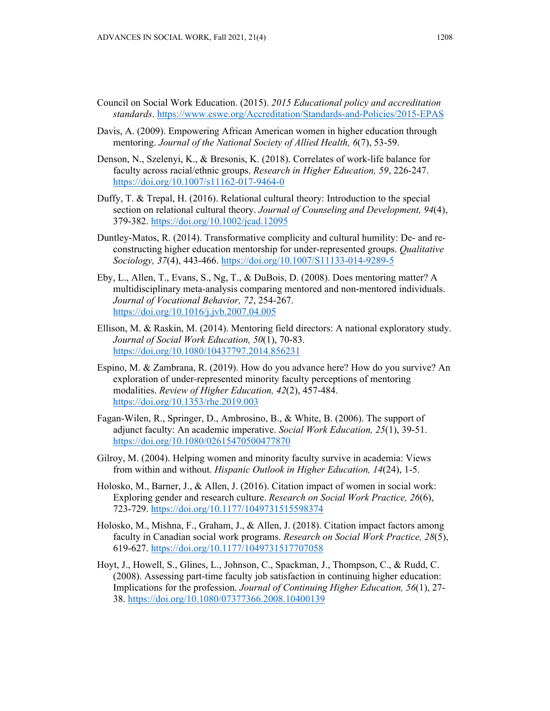- Council on Social Work Education. (2015). *2015 Educational policy and accreditation standards*. https://www.cswe.org/Accreditation/Standards-and-Policies/2015-EPAS
- Davis, A. (2009). Empowering African American women in higher education through mentoring. *Journal of the National Society of Allied Health, 6*(7), 53-59.
- Denson, N., Szelenyi, K., & Bresonis, K. (2018). Correlates of work-life balance for faculty across racial/ethnic groups. *Research in Higher Education, 59*, 226-247. https://doi.org/10.1007/s11162-017-9464-0
- Duffy, T. & Trepal, H. (2016). Relational cultural theory: Introduction to the special section on relational cultural theory. *Journal of Counseling and Development, 94*(4), 379-382. https://doi.org/10.1002/jcad.12095
- Duntley-Matos, R. (2014). Transformative complicity and cultural humility: De- and reconstructing higher education mentorship for under-represented groups. *Qualitative Sociology, 37*(4), 443-466. https://doi.org/10.1007/S11133-014-9289-5
- Eby, L., Allen, T., Evans, S., Ng, T., & DuBois, D. (2008). Does mentoring matter? A multidisciplinary meta-analysis comparing mentored and non-mentored individuals. *Journal of Vocational Behavior, 72*, 254-267. https://doi.org/10.1016/j.jvb.2007.04.005
- Ellison, M. & Raskin, M. (2014). Mentoring field directors: A national exploratory study. *Journal of Social Work Education, 50*(1), 70-83. https://doi.org/10.1080/10437797.2014.856231
- Espino, M. & Zambrana, R. (2019). How do you advance here? How do you survive? An exploration of under-represented minority faculty perceptions of mentoring modalities. *Review of Higher Education, 42*(2), 457-484. https://doi.org/10.1353/rhe.2019.003
- Fagan-Wilen, R., Springer, D., Ambrosino, B., & White, B. (2006). The support of adjunct faculty: An academic imperative. *Social Work Education, 25*(1), 39-51. https://doi.org/10.1080/02615470500477870
- Gilroy, M. (2004). Helping women and minority faculty survive in academia: Views from within and without. *Hispanic Outlook in Higher Education, 14*(24), 1-5.
- Holosko, M., Barner, J., & Allen, J. (2016). Citation impact of women in social work: Exploring gender and research culture. *Research on Social Work Practice, 26*(6), 723-729. https://doi.org/10.1177/1049731515598374
- Holosko, M., Mishna, F., Graham, J., & Allen, J. (2018). Citation impact factors among faculty in Canadian social work programs. *Research on Social Work Practice, 28*(5), 619-627. https://doi.org/10.1177/1049731517707058
- Hoyt, J., Howell, S., Glines, L., Johnson, C., Spackman, J., Thompson, C., & Rudd, C. (2008). Assessing part-time faculty job satisfaction in continuing higher education: Implications for the profession. *Journal of Continuing Higher Education, 56*(1), 27- 38. https://doi.org/10.1080/07377366.2008.10400139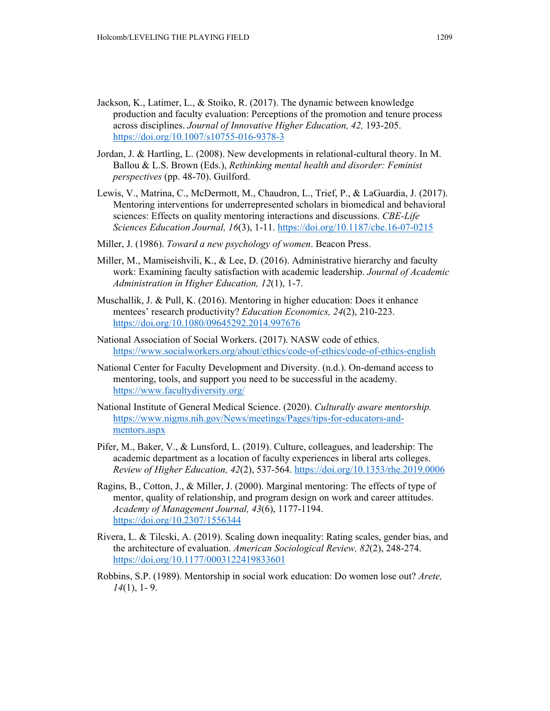- Jackson, K., Latimer, L., & Stoiko, R. (2017). The dynamic between knowledge production and faculty evaluation: Perceptions of the promotion and tenure process across disciplines. *Journal of Innovative Higher Education, 42,* 193-205. https://doi.org/10.1007/s10755-016-9378-3
- Jordan, J. & Hartling, L. (2008). New developments in relational-cultural theory. In M. Ballou & L.S. Brown (Eds.), *Rethinking mental health and disorder: Feminist perspectives* (pp. 48-70). Guilford.
- Lewis, V., Matrina, C., McDermott, M., Chaudron, L., Trief, P., & LaGuardia, J. (2017). Mentoring interventions for underrepresented scholars in biomedical and behavioral sciences: Effects on quality mentoring interactions and discussions. *CBE-Life Sciences Education Journal, 16*(3), 1-11. https://doi.org/10.1187/cbe.16-07-0215
- Miller, J. (1986). *Toward a new psychology of women*. Beacon Press.
- Miller, M., Mamiseishvili, K., & Lee, D. (2016). Administrative hierarchy and faculty work: Examining faculty satisfaction with academic leadership. *Journal of Academic Administration in Higher Education, 12*(1), 1-7.
- Muschallik, J. & Pull, K. (2016). Mentoring in higher education: Does it enhance mentees' research productivity? *Education Economics, 24*(2), 210-223. https://doi.org/10.1080/09645292.2014.997676
- National Association of Social Workers. (2017). NASW code of ethics. https://www.socialworkers.org/about/ethics/code-of-ethics/code-of-ethics-english
- National Center for Faculty Development and Diversity. (n.d.). On-demand access to mentoring, tools, and support you need to be successful in the academy. https://www.facultydiversity.org/
- National Institute of General Medical Science. (2020). *Culturally aware mentorship.*  https://www.nigms.nih.gov/News/meetings/Pages/tips-for-educators-andmentors.aspx
- Pifer, M., Baker, V., & Lunsford, L. (2019). Culture, colleagues, and leadership: The academic department as a location of faculty experiences in liberal arts colleges. *Review of Higher Education, 42*(2), 537-564. https://doi.org/10.1353/rhe.2019.0006
- Ragins, B., Cotton, J., & Miller, J. (2000). Marginal mentoring: The effects of type of mentor, quality of relationship, and program design on work and career attitudes. *Academy of Management Journal, 43*(6), 1177-1194. https://doi.org/10.2307/1556344
- Rivera, L. & Tilcski, A. (2019). Scaling down inequality: Rating scales, gender bias, and the architecture of evaluation. *American Sociological Review, 82*(2), 248-274. https://doi.org/10.1177/0003122419833601
- Robbins, S.P. (1989). Mentorship in social work education: Do women lose out? *Arete, 14*(1), 1- 9.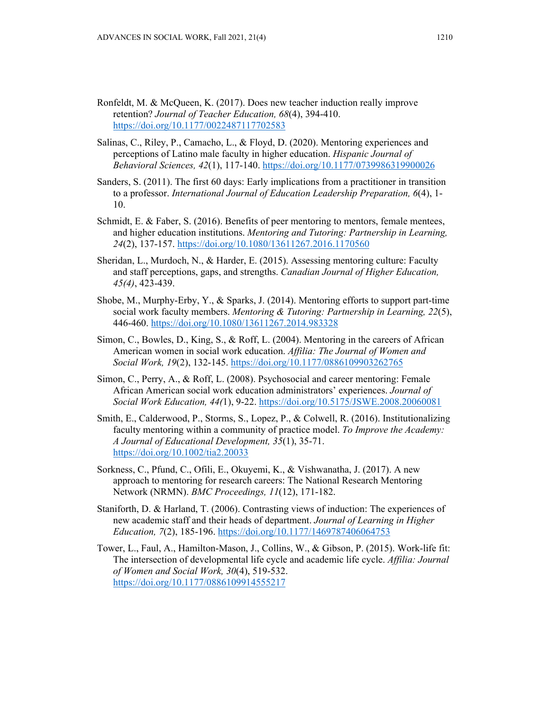- Ronfeldt, M. & McQueen, K. (2017). Does new teacher induction really improve retention? *Journal of Teacher Education, 68*(4), 394-410. https://doi.org/10.1177/0022487117702583
- Salinas, C., Riley, P., Camacho, L., & Floyd, D. (2020). Mentoring experiences and perceptions of Latino male faculty in higher education. *Hispanic Journal of Behavioral Sciences, 42*(1), 117-140. https://doi.org/10.1177/0739986319900026
- Sanders, S. (2011). The first 60 days: Early implications from a practitioner in transition to a professor. *International Journal of Education Leadership Preparation, 6*(4), 1- 10.
- Schmidt, E. & Faber, S. (2016). Benefits of peer mentoring to mentors, female mentees, and higher education institutions. *Mentoring and Tutoring: Partnership in Learning, 24*(2), 137-157. https://doi.org/10.1080/13611267.2016.1170560
- Sheridan, L., Murdoch, N., & Harder, E. (2015). Assessing mentoring culture: Faculty and staff perceptions, gaps, and strengths. *Canadian Journal of Higher Education, 45(4)*, 423-439.
- Shobe, M., Murphy-Erby, Y., & Sparks, J. (2014). Mentoring efforts to support part-time social work faculty members. *Mentoring & Tutoring: Partnership in Learning, 22*(5), 446-460. https://doi.org/10.1080/13611267.2014.983328
- Simon, C., Bowles, D., King, S., & Roff, L. (2004). Mentoring in the careers of African American women in social work education. *Affilia: The Journal of Women and Social Work, 19*(2), 132-145. https://doi.org/10.1177/0886109903262765
- Simon, C., Perry, A., & Roff, L. (2008). Psychosocial and career mentoring: Female African American social work education administrators' experiences. *Journal of Social Work Education, 44(*1), 9-22. https://doi.org/10.5175/JSWE.2008.20060081
- Smith, E., Calderwood, P., Storms, S., Lopez, P., & Colwell, R. (2016). Institutionalizing faculty mentoring within a community of practice model. *To Improve the Academy: A Journal of Educational Development, 35*(1), 35-71. https://doi.org/10.1002/tia2.20033
- Sorkness, C., Pfund, C., Ofili, E., Okuyemi, K., & Vishwanatha, J. (2017). A new approach to mentoring for research careers: The National Research Mentoring Network (NRMN). *BMC Proceedings, 11*(12), 171-182.
- Staniforth, D. & Harland, T. (2006). Contrasting views of induction: The experiences of new academic staff and their heads of department. *Journal of Learning in Higher Education, 7*(2), 185-196. https://doi.org/10.1177/1469787406064753
- Tower, L., Faul, A., Hamilton-Mason, J., Collins, W., & Gibson, P. (2015). Work-life fit: The intersection of developmental life cycle and academic life cycle. *Affilia: Journal of Women and Social Work, 30*(4), 519-532. https://doi.org/10.1177/0886109914555217